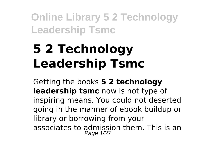# **5 2 Technology Leadership Tsmc**

Getting the books **5 2 technology leadership tsmc** now is not type of inspiring means. You could not deserted going in the manner of ebook buildup or library or borrowing from your associates to admission them. This is an Page 1/27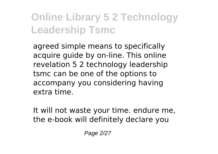agreed simple means to specifically acquire guide by on-line. This online revelation 5 2 technology leadership tsmc can be one of the options to accompany you considering having extra time.

It will not waste your time. endure me, the e-book will definitely declare you

Page 2/27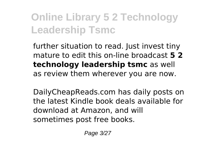further situation to read. Just invest tiny mature to edit this on-line broadcast **5 2 technology leadership tsmc** as well as review them wherever you are now.

DailyCheapReads.com has daily posts on the latest Kindle book deals available for download at Amazon, and will sometimes post free books.

Page 3/27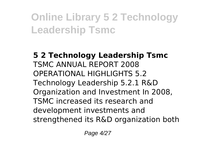**5 2 Technology Leadership Tsmc** TSMC ANNUAL REPORT 2008 OPERATIONAL HIGHLIGHTS 5.2 Technology Leadership 5.2.1 R&D Organization and Investment In 2008, TSMC increased its research and development investments and strengthened its R&D organization both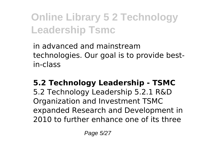in advanced and mainstream technologies. Our goal is to provide bestin-class

**5.2 Technology Leadership - TSMC** 5.2 Technology Leadership 5.2.1 R&D Organization and Investment TSMC expanded Research and Development in 2010 to further enhance one of its three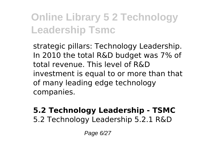strategic pillars: Technology Leadership. In 2010 the total R&D budget was 7% of total revenue. This level of R&D investment is equal to or more than that of many leading edge technology companies.

#### **5.2 Technology Leadership - TSMC** 5.2 Technology Leadership 5.2.1 R&D

Page 6/27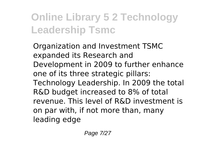Organization and Investment TSMC expanded its Research and Development in 2009 to further enhance one of its three strategic pillars: Technology Leadership. In 2009 the total R&D budget increased to 8% of total revenue. This level of R&D investment is on par with, if not more than, many leading edge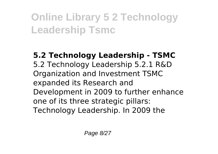#### **5.2 Technology Leadership - TSMC** 5.2 Technology Leadership 5.2.1 R&D Organization and Investment TSMC expanded its Research and Development in 2009 to further enhance one of its three strategic pillars: Technology Leadership. In 2009 the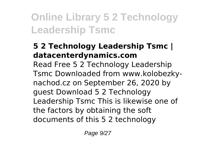#### **5 2 Technology Leadership Tsmc | datacenterdynamics.com**

Read Free 5 2 Technology Leadership Tsmc Downloaded from www.kolobezkynachod.cz on September 26, 2020 by guest Download 5 2 Technology Leadership Tsmc This is likewise one of the factors by obtaining the soft documents of this 5 2 technology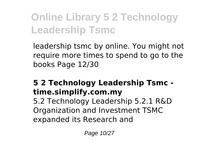leadership tsmc by online. You might not require more times to spend to go to the books Page 12/30

#### **5 2 Technology Leadership Tsmc time.simplify.com.my**

5.2 Technology Leadership 5.2.1 R&D Organization and Investment TSMC expanded its Research and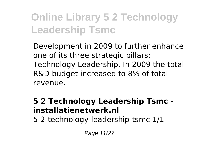Development in 2009 to further enhance one of its three strategic pillars: Technology Leadership. In 2009 the total R&D budget increased to 8% of total revenue.

#### **5 2 Technology Leadership Tsmc installatienetwerk.nl**

5-2-technology-leadership-tsmc 1/1

Page 11/27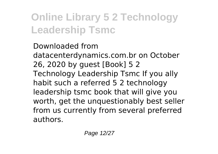Downloaded from datacenterdynamics.com.br on October 26, 2020 by guest [Book] 5 2 Technology Leadership Tsmc If you ally habit such a referred 5 2 technology leadership tsmc book that will give you worth, get the unquestionably best seller from us currently from several preferred authors.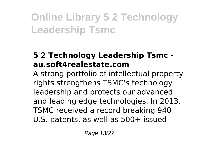#### **5 2 Technology Leadership Tsmc au.soft4realestate.com**

A strong portfolio of intellectual property rights strengthens TSMC's technology leadership and protects our advanced and leading edge technologies. In 2013, TSMC received a record breaking 940 U.S. patents, as well as 500+ issued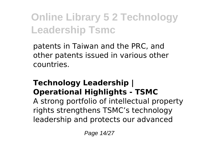patents in Taiwan and the PRC, and other patents issued in various other countries.

#### **Technology Leadership | Operational Highlights - TSMC**

A strong portfolio of intellectual property rights strengthens TSMC's technology leadership and protects our advanced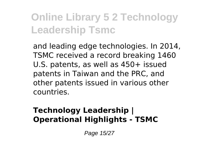and leading edge technologies. In 2014, TSMC received a record breaking 1460 U.S. patents, as well as 450+ issued patents in Taiwan and the PRC, and other patents issued in various other countries.

#### **Technology Leadership | Operational Highlights - TSMC**

Page 15/27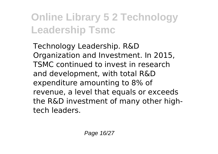Technology Leadership. R&D Organization and Investment. In 2015, TSMC continued to invest in research and development, with total R&D expenditure amounting to 8% of revenue, a level that equals or exceeds the R&D investment of many other hightech leaders.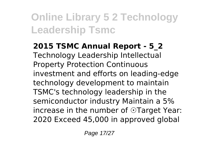**2015 TSMC Annual Report - 5\_2** Technology Leadership Intellectual Property Protection Continuous investment and efforts on leading-edge technology development to maintain TSMC's technology leadership in the semiconductor industry Maintain a 5% increase in the number of ⊙Target Year: 2020 Exceed 45,000 in approved global

Page 17/27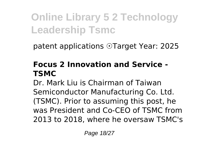patent applications ☉Target Year: 2025

#### **Focus 2 Innovation and Service - TSMC**

Dr. Mark Liu is Chairman of Taiwan Semiconductor Manufacturing Co. Ltd. (TSMC). Prior to assuming this post, he was President and Co-CEO of TSMC from 2013 to 2018, where he oversaw TSMC's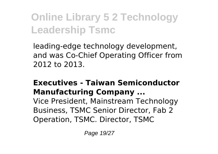leading-edge technology development, and was Co-Chief Operating Officer from 2012 to 2013.

#### **Executives - Taiwan Semiconductor Manufacturing Company ...**

Vice President, Mainstream Technology Business, TSMC Senior Director, Fab 2 Operation, TSMC. Director, TSMC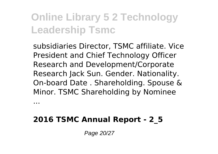subsidiaries Director, TSMC affiliate. Vice President and Chief Technology Officer Research and Development/Corporate Research Jack Sun. Gender. Nationality. On-board Date . Shareholding. Spouse & Minor. TSMC Shareholding by Nominee

**2016 TSMC Annual Report - 2\_5**

...

Page 20/27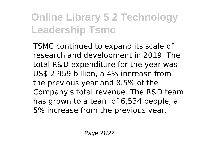TSMC continued to expand its scale of research and development in 2019. The total R&D expenditure for the year was US\$ 2.959 billion, a 4% increase from the previous year and 8.5% of the Company's total revenue. The R&D team has grown to a team of 6,534 people, a 5% increase from the previous year.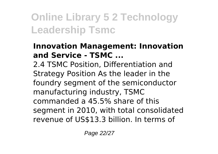#### **Innovation Management: Innovation and Service - TSMC ...**

2.4 TSMC Position, Differentiation and Strategy Position As the leader in the foundry segment of the semiconductor manufacturing industry, TSMC commanded a 45.5% share of this segment in 2010, with total consolidated revenue of US\$13.3 billion. In terms of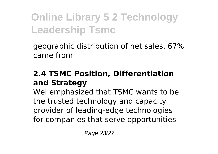geographic distribution of net sales, 67% came from

#### **2.4 TSMC Position, Differentiation and Strategy**

Wei emphasized that TSMC wants to be the trusted technology and capacity provider of leading-edge technologies for companies that serve opportunities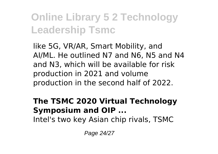like 5G, VR/AR, Smart Mobility, and AI/ML. He outlined N7 and N6, N5 and N4 and N3, which will be available for risk production in 2021 and volume production in the second half of 2022.

#### **The TSMC 2020 Virtual Technology Symposium and OIP ...**

Intel's two key Asian chip rivals, TSMC

Page 24/27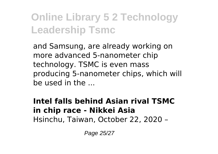and Samsung, are already working on more advanced 5-nanometer chip technology. TSMC is even mass producing 5-nanometer chips, which will be used in the ...

#### **Intel falls behind Asian rival TSMC in chip race - Nikkei Asia** Hsinchu, Taiwan, October 22, 2020 –

Page 25/27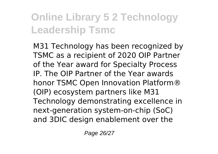M31 Technology has been recognized by TSMC as a recipient of 2020 OIP Partner of the Year award for Specialty Process IP. The OIP Partner of the Year awards honor TSMC Open Innovation Platform® (OIP) ecosystem partners like M31 Technology demonstrating excellence in next-generation system-on-chip (SoC) and 3DIC design enablement over the

Page 26/27